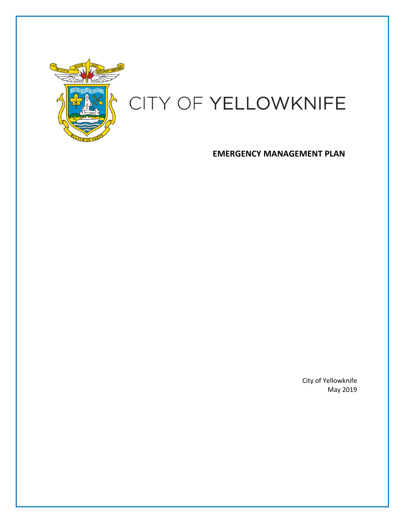

# CITY OF YELLOWKNIFE

**EMERGENCY MANAGEMENT PLAN** 

City of Yellowknife May 2019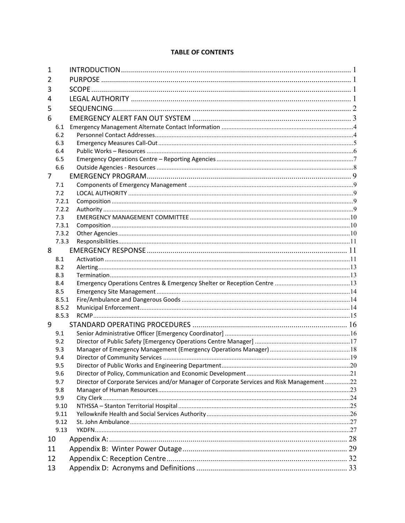# **TABLE OF CONTENTS**

| 1  |            |                                                                                            |  |
|----|------------|--------------------------------------------------------------------------------------------|--|
| 2  |            |                                                                                            |  |
| 3  |            |                                                                                            |  |
| 4  |            |                                                                                            |  |
| 5  |            |                                                                                            |  |
|    |            |                                                                                            |  |
| 6  |            |                                                                                            |  |
|    | 6.1        |                                                                                            |  |
|    | 6.2        |                                                                                            |  |
|    | 6.3        |                                                                                            |  |
|    | 6.4<br>6.5 |                                                                                            |  |
|    | 6.6        |                                                                                            |  |
| 7  |            |                                                                                            |  |
|    |            |                                                                                            |  |
|    | 7.1<br>7.2 |                                                                                            |  |
|    | 7.2.1      |                                                                                            |  |
|    | 7.2.2      |                                                                                            |  |
|    | 7.3        |                                                                                            |  |
|    | 7.3.1      |                                                                                            |  |
|    | 7.3.2      |                                                                                            |  |
|    | 7.3.3      |                                                                                            |  |
| 8  |            |                                                                                            |  |
|    | 8.1        |                                                                                            |  |
|    | 8.2        |                                                                                            |  |
|    | 8.3        |                                                                                            |  |
|    | 8.4        |                                                                                            |  |
|    | 8.5        |                                                                                            |  |
|    | 8.5.1      |                                                                                            |  |
|    | 8.5.2      |                                                                                            |  |
|    | 8.5.3      |                                                                                            |  |
| 9  |            |                                                                                            |  |
|    | 9.1        |                                                                                            |  |
|    | 9.2        |                                                                                            |  |
|    | 9.3        |                                                                                            |  |
|    | 9.4        |                                                                                            |  |
|    | 9.5        |                                                                                            |  |
|    | 9.6        |                                                                                            |  |
|    | 9.7        | Director of Corporate Services and/or Manager of Corporate Services and Risk Management 22 |  |
|    | 9.8        |                                                                                            |  |
|    | 9.9        |                                                                                            |  |
|    | 9.10       |                                                                                            |  |
|    | 9.11       |                                                                                            |  |
|    | 9.12       |                                                                                            |  |
|    | 9.13       |                                                                                            |  |
| 10 |            |                                                                                            |  |
| 11 |            |                                                                                            |  |
| 12 |            |                                                                                            |  |
| 13 |            |                                                                                            |  |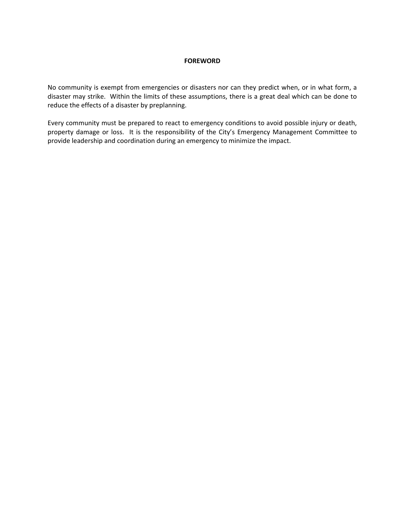#### **FOREWORD**

No community is exempt from emergencies or disasters nor can they predict when, or in what form, a disaster may strike. Within the limits of these assumptions, there is a great deal which can be done to reduce the effects of a disaster by preplanning.

Every community must be prepared to react to emergency conditions to avoid possible injury or death, property damage or loss. It is the responsibility of the City's Emergency Management Committee to provide leadership and coordination during an emergency to minimize the impact.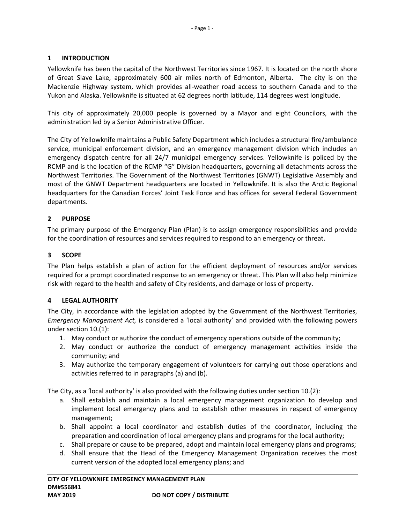# **1 INTRODUCTION**

Yellowknife has been the capital of the Northwest Territories since 1967. It is located on the north shore of Great Slave Lake, approximately 600 air miles north of Edmonton, Alberta. The city is on the Mackenzie Highway system, which provides all-weather road access to southern Canada and to the Yukon and Alaska. Yellowknife is situated at 62 degrees north latitude, 114 degrees west longitude.

This city of approximately 20,000 people is governed by a Mayor and eight Councilors, with the administration led by a Senior Administrative Officer.

The City of Yellowknife maintains a Public Safety Department which includes a structural fire/ambulance service, municipal enforcement division, and an emergency management division which includes an emergency dispatch centre for all 24/7 municipal emergency services. Yellowknife is policed by the RCMP and is the location of the RCMP "G" Division headquarters, governing all detachments across the Northwest Territories. The Government of the Northwest Territories (GNWT) Legislative Assembly and most of the GNWT Department headquarters are located in Yellowknife. It is also the Arctic Regional headquarters for the Canadian Forces' Joint Task Force and has offices for several Federal Government departments.

# **2 PURPOSE**

The primary purpose of the Emergency Plan (Plan) is to assign emergency responsibilities and provide for the coordination of resources and services required to respond to an emergency or threat.

# **3 SCOPE**

The Plan helps establish a plan of action for the efficient deployment of resources and/or services required for a prompt coordinated response to an emergency or threat. This Plan will also help minimize risk with regard to the health and safety of City residents, and damage or loss of property.

## **4 LEGAL AUTHORITY**

The City, in accordance with the legislation adopted by the Government of the Northwest Territories, *Emergency Management Act,* is considered a 'local authority' and provided with the following powers under section 10.(1):

- 1. May conduct or authorize the conduct of emergency operations outside of the community;
- 2. May conduct or authorize the conduct of emergency management activities inside the community; and
- 3. May authorize the temporary engagement of volunteers for carrying out those operations and activities referred to in paragraphs (a) and (b).

The City, as a 'local authority' is also provided with the following duties under section 10.(2):

- a. Shall establish and maintain a local emergency management organization to develop and implement local emergency plans and to establish other measures in respect of emergency management;
- b. Shall appoint a local coordinator and establish duties of the coordinator, including the preparation and coordination of local emergency plans and programs for the local authority;
- c. Shall prepare or cause to be prepared, adopt and maintain local emergency plans and programs;
- d. Shall ensure that the Head of the Emergency Management Organization receives the most current version of the adopted local emergency plans; and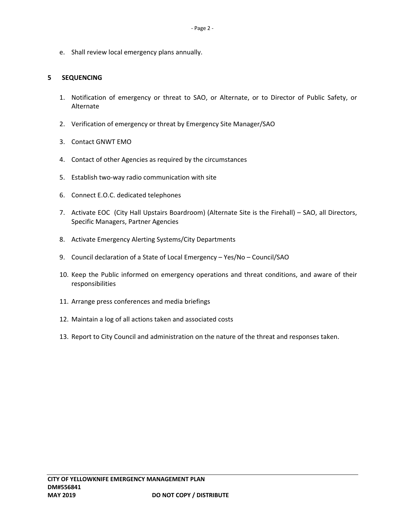e. Shall review local emergency plans annually.

## **5 SEQUENCING**

- 1. Notification of emergency or threat to SAO, or Alternate, or to Director of Public Safety, or Alternate
- 2. Verification of emergency or threat by Emergency Site Manager/SAO
- 3. Contact GNWT EMO
- 4. Contact of other Agencies as required by the circumstances
- 5. Establish two-way radio communication with site
- 6. Connect E.O.C. dedicated telephones
- 7. Activate EOC (City Hall Upstairs Boardroom) (Alternate Site is the Firehall) SAO, all Directors, Specific Managers, Partner Agencies
- 8. Activate Emergency Alerting Systems/City Departments
- 9. Council declaration of a State of Local Emergency Yes/No Council/SAO
- 10. Keep the Public informed on emergency operations and threat conditions, and aware of their responsibilities
- 11. Arrange press conferences and media briefings
- 12. Maintain a log of all actions taken and associated costs
- 13. Report to City Council and administration on the nature of the threat and responses taken.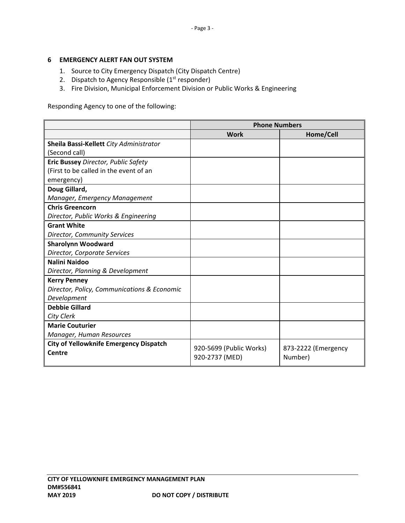## **6 EMERGENCY ALERT FAN OUT SYSTEM**

- 1. Source to City Emergency Dispatch (City Dispatch Centre)
- 2. Dispatch to Agency Responsible  $(1<sup>st</sup>$  responder)
- 3. Fire Division, Municipal Enforcement Division or Public Works & Engineering

Responding Agency to one of the following:

|                                               | <b>Phone Numbers</b>    |                     |  |
|-----------------------------------------------|-------------------------|---------------------|--|
|                                               | <b>Work</b>             | Home/Cell           |  |
| Sheila Bassi-Kellett City Administrator       |                         |                     |  |
| (Second call)                                 |                         |                     |  |
| Eric Bussey Director, Public Safety           |                         |                     |  |
| (First to be called in the event of an        |                         |                     |  |
| emergency)                                    |                         |                     |  |
| Doug Gillard,                                 |                         |                     |  |
| Manager, Emergency Management                 |                         |                     |  |
| <b>Chris Greencorn</b>                        |                         |                     |  |
| Director, Public Works & Engineering          |                         |                     |  |
| <b>Grant White</b>                            |                         |                     |  |
| Director, Community Services                  |                         |                     |  |
| <b>Sharolynn Woodward</b>                     |                         |                     |  |
| Director, Corporate Services                  |                         |                     |  |
| Nalini Naidoo                                 |                         |                     |  |
| Director, Planning & Development              |                         |                     |  |
| <b>Kerry Penney</b>                           |                         |                     |  |
| Director, Policy, Communications & Economic   |                         |                     |  |
| Development                                   |                         |                     |  |
| <b>Debbie Gillard</b>                         |                         |                     |  |
| City Clerk                                    |                         |                     |  |
| <b>Marie Couturier</b>                        |                         |                     |  |
| Manager, Human Resources                      |                         |                     |  |
| <b>City of Yellowknife Emergency Dispatch</b> | 920-5699 (Public Works) | 873-2222 (Emergency |  |
| Centre                                        | 920-2737 (MED)          | Number)             |  |
|                                               |                         |                     |  |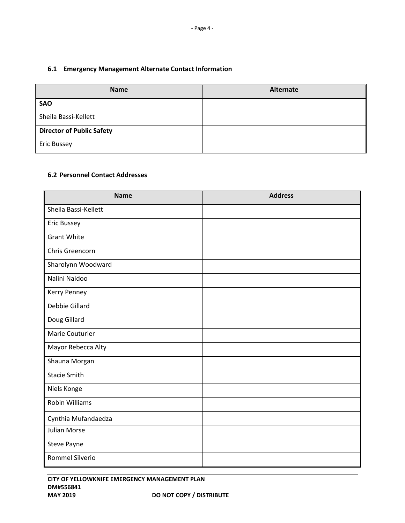# **6.1 Emergency Management Alternate Contact Information**

| <b>Name</b>                      | <b>Alternate</b> |
|----------------------------------|------------------|
| <b>SAO</b>                       |                  |
| Sheila Bassi-Kellett             |                  |
| <b>Director of Public Safety</b> |                  |
| <b>Eric Bussey</b>               |                  |

# **6.2 Personnel Contact Addresses**

| <b>Name</b>           | <b>Address</b> |
|-----------------------|----------------|
| Sheila Bassi-Kellett  |                |
| Eric Bussey           |                |
| <b>Grant White</b>    |                |
| Chris Greencorn       |                |
| Sharolynn Woodward    |                |
| Nalini Naidoo         |                |
| Kerry Penney          |                |
| Debbie Gillard        |                |
| Doug Gillard          |                |
| Marie Couturier       |                |
| Mayor Rebecca Alty    |                |
| Shauna Morgan         |                |
| <b>Stacie Smith</b>   |                |
| Niels Konge           |                |
| <b>Robin Williams</b> |                |
| Cynthia Mufandaedza   |                |
| <b>Julian Morse</b>   |                |
| Steve Payne           |                |
| Rommel Silverio       |                |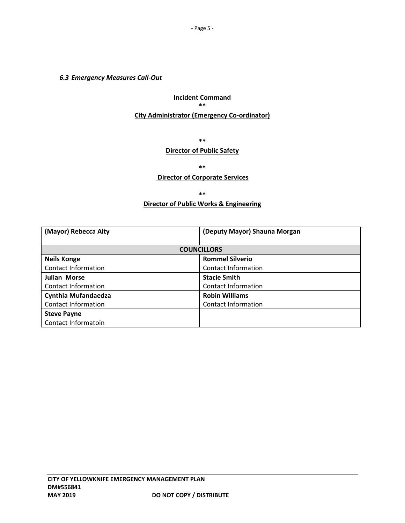# *6.3 Emergency Measures Call‐Out*

# **Incident Command \*\*** \*\* **\*\*** \*\* **\*\*** \*\* **\*\*** \*\*  **City Administrator (Emergency Co‐ordinator)**

 **\*\*** \*\* **\*\*** \*\* **\*\*** \*\* **\*\*** \*\*

# **Director of Public Safety**

**\*\*** 

#### **Director of Corporate Services**

**\*\*** 

## **Director of Public Works & Engineering**

| (Mayor) Rebecca Alty       | (Deputy Mayor) Shauna Morgan |  |
|----------------------------|------------------------------|--|
|                            |                              |  |
|                            | <b>COUNCILLORS</b>           |  |
| <b>Neils Konge</b>         | <b>Rommel Silverio</b>       |  |
| Contact Information        | <b>Contact Information</b>   |  |
| <b>Julian Morse</b>        | <b>Stacie Smith</b>          |  |
| Contact Information        | Contact Information          |  |
| Cynthia Mufandaedza        | <b>Robin Williams</b>        |  |
| <b>Contact Information</b> | <b>Contact Information</b>   |  |
| <b>Steve Payne</b>         |                              |  |
| Contact Informatoin        |                              |  |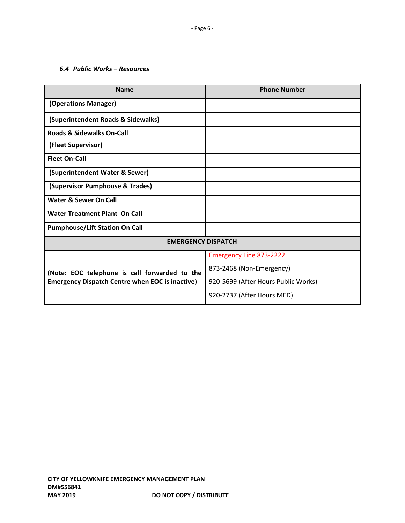# *6.4 Public Works – Resources*

| <b>Name</b>                                            | <b>Phone Number</b>                 |
|--------------------------------------------------------|-------------------------------------|
| (Operations Manager)                                   |                                     |
| (Superintendent Roads & Sidewalks)                     |                                     |
| <b>Roads &amp; Sidewalks On-Call</b>                   |                                     |
| (Fleet Supervisor)                                     |                                     |
| <b>Fleet On-Call</b>                                   |                                     |
| (Superintendent Water & Sewer)                         |                                     |
| (Supervisor Pumphouse & Trades)                        |                                     |
| Water & Sewer On Call                                  |                                     |
| Water Treatment Plant On Call                          |                                     |
| <b>Pumphouse/Lift Station On Call</b>                  |                                     |
| <b>EMERGENCY DISPATCH</b>                              |                                     |
|                                                        | <b>Emergency Line 873-2222</b>      |
| (Note: EOC telephone is call forwarded to the          | 873-2468 (Non-Emergency)            |
| <b>Emergency Dispatch Centre when EOC is inactive)</b> | 920-5699 (After Hours Public Works) |
|                                                        | 920-2737 (After Hours MED)          |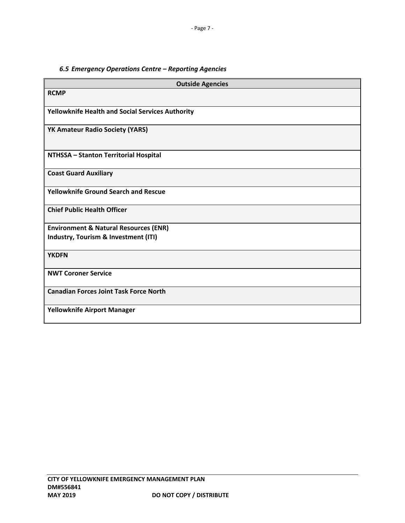# *6.5 Emergency Operations Centre – Reporting Agencies*

| <b>Outside Agencies</b>                          |  |  |
|--------------------------------------------------|--|--|
| <b>RCMP</b>                                      |  |  |
| Yellowknife Health and Social Services Authority |  |  |
| YK Amateur Radio Society (YARS)                  |  |  |
| NTHSSA - Stanton Territorial Hospital            |  |  |
| <b>Coast Guard Auxiliary</b>                     |  |  |
| <b>Yellowknife Ground Search and Rescue</b>      |  |  |
| <b>Chief Public Health Officer</b>               |  |  |
| <b>Environment &amp; Natural Resources (ENR)</b> |  |  |
| Industry, Tourism & Investment (ITI)             |  |  |
| <b>YKDFN</b>                                     |  |  |
| <b>NWT Coroner Service</b>                       |  |  |
| <b>Canadian Forces Joint Task Force North</b>    |  |  |
| Yellowknife Airport Manager                      |  |  |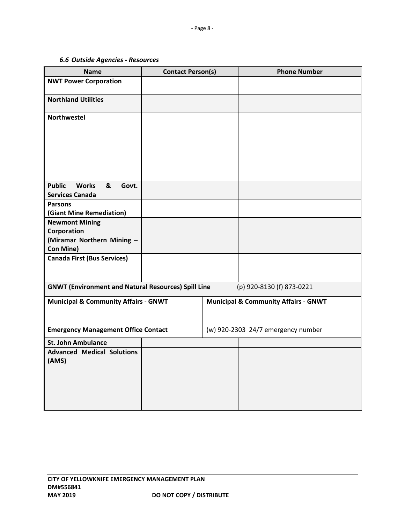# *6.6 Outside Agencies ‐ Resources*

| <b>Name</b>                                                | <b>Contact Person(s)</b> | <b>Phone Number</b>                             |
|------------------------------------------------------------|--------------------------|-------------------------------------------------|
| <b>NWT Power Corporation</b>                               |                          |                                                 |
|                                                            |                          |                                                 |
| <b>Northland Utilities</b>                                 |                          |                                                 |
| <b>Northwestel</b>                                         |                          |                                                 |
|                                                            |                          |                                                 |
|                                                            |                          |                                                 |
|                                                            |                          |                                                 |
|                                                            |                          |                                                 |
|                                                            |                          |                                                 |
|                                                            |                          |                                                 |
|                                                            |                          |                                                 |
| <b>Public</b><br><b>Works</b><br>&<br>Govt.                |                          |                                                 |
| <b>Services Canada</b>                                     |                          |                                                 |
| <b>Parsons</b><br>(Giant Mine Remediation)                 |                          |                                                 |
| <b>Newmont Mining</b>                                      |                          |                                                 |
| Corporation                                                |                          |                                                 |
| (Miramar Northern Mining -                                 |                          |                                                 |
| Con Mine)                                                  |                          |                                                 |
| <b>Canada First (Bus Services)</b>                         |                          |                                                 |
|                                                            |                          |                                                 |
|                                                            |                          |                                                 |
| <b>GNWT (Environment and Natural Resources) Spill Line</b> |                          | (p) 920-8130 (f) 873-0221                       |
| <b>Municipal &amp; Community Affairs - GNWT</b>            |                          | <b>Municipal &amp; Community Affairs - GNWT</b> |
|                                                            |                          |                                                 |
|                                                            |                          |                                                 |
| <b>Emergency Management Office Contact</b>                 |                          | (w) 920-2303 24/7 emergency number              |
| <b>St. John Ambulance</b>                                  |                          |                                                 |
| <b>Advanced Medical Solutions</b>                          |                          |                                                 |
| (AMS)                                                      |                          |                                                 |
|                                                            |                          |                                                 |
|                                                            |                          |                                                 |
|                                                            |                          |                                                 |
|                                                            |                          |                                                 |
|                                                            |                          |                                                 |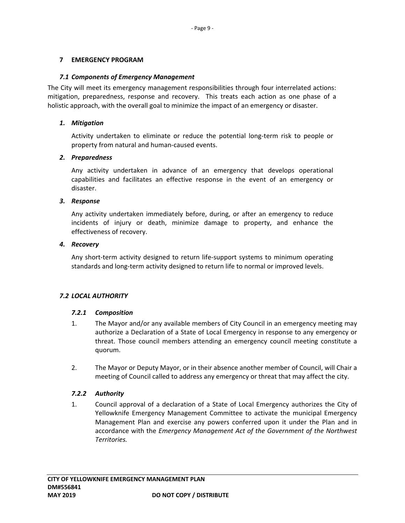## **7 EMERGENCY PROGRAM**

#### *7.1 Components of Emergency Management*

The City will meet its emergency management responsibilities through four interrelated actions: mitigation, preparedness, response and recovery. This treats each action as one phase of a holistic approach, with the overall goal to minimize the impact of an emergency or disaster.

## *1. Mitigation*

Activity undertaken to eliminate or reduce the potential long‐term risk to people or property from natural and human‐caused events.

#### *2. Preparedness*

Any activity undertaken in advance of an emergency that develops operational capabilities and facilitates an effective response in the event of an emergency or disaster.

#### *3. Response*

Any activity undertaken immediately before, during, or after an emergency to reduce incidents of injury or death, minimize damage to property, and enhance the effectiveness of recovery.

#### *4. Recovery*

Any short-term activity designed to return life-support systems to minimum operating standards and long‐term activity designed to return life to normal or improved levels.

## *7.2 LOCAL AUTHORITY*

## *7.2.1 Composition*

- 1. The Mayor and/or any available members of City Council in an emergency meeting may authorize a Declaration of a State of Local Emergency in response to any emergency or threat. Those council members attending an emergency council meeting constitute a quorum.
- 2. The Mayor or Deputy Mayor, or in their absence another member of Council, will Chair a meeting of Council called to address any emergency or threat that may affect the city.

## *7.2.2 Authority*

1. Council approval of a declaration of a State of Local Emergency authorizes the City of Yellowknife Emergency Management Committee to activate the municipal Emergency Management Plan and exercise any powers conferred upon it under the Plan and in accordance with the *Emergency Management Act of the Government of the Northwest Territories.*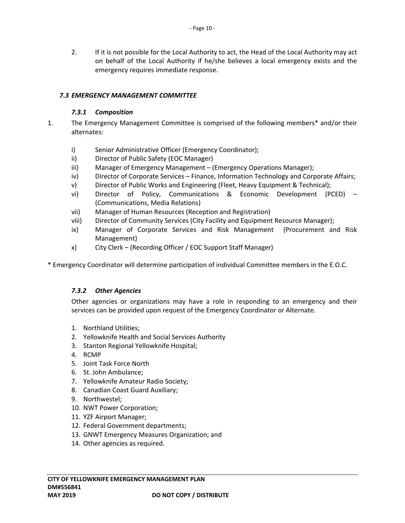2. If it is not possible for the Local Authority to act, the Head of the Local Authority may act on behalf of the Local Authority if he/she believes a local emergency exists and the emergency requires immediate response.

# *7.3 EMERGENCY MANAGEMENT COMMITTEE*

# *7.3.1 Composition*

- 1. The Emergency Management Committee is comprised of the following members\* and/or their alternates:
	- i) Senior Administrative Officer (Emergency Coordinator);
	- ii) Director of Public Safety (EOC Manager)
	- iii) Manager of Emergency Management (Emergency Operations Manager);
	- iv) Director of Corporate Services Finance, Information Technology and Corporate Affairs;
	- v) Director of Public Works and Engineering (Fleet, Heavy Equipment & Technical);
	- vi) Director of Policy, Communications & Economic Development (PCED) (Communications, Media Relations)
	- vii) Manager of Human Resources (Reception and Registration)
	- viii) Director of Community Services (City Facility and Equipment Resource Manager);
	- ix) Manager of Corporate Services and Risk Management (Procurement and Risk Management)
	- x) City Clerk (Recording Officer / EOC Support Staff Manager)

\* Emergency Coordinator will determine participation of individual Committee members in the E.O.C.

## *7.3.2 Other Agencies*

Other agencies or organizations may have a role in responding to an emergency and their services can be provided upon request of the Emergency Coordinator or Alternate.

- 1. Northland Utilities;
- 2. Yellowknife Health and Social Services Authority
- 3. Stanton Regional Yellowknife Hospital;
- 4. RCMP
- 5. Joint Task Force North
- 6. St. John Ambulance;
- 7. Yellowknife Amateur Radio Society;
- 8. Canadian Coast Guard Auxiliary;
- 9. Northwestel;
- 10. NWT Power Corporation;
- 11. YZF Airport Manager;
- 12. Federal Government departments;
- 13. GNWT Emergency Measures Organization; and
- 14. Other agencies as required.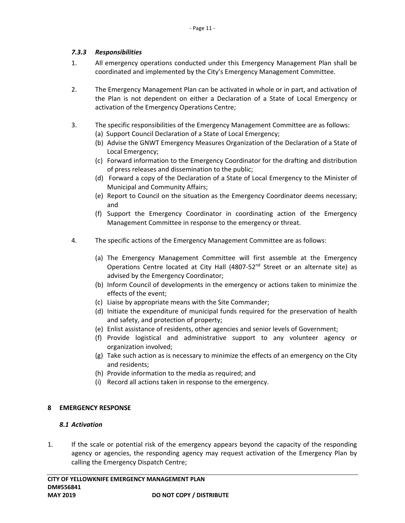# *7.3.3 Responsibilities*

- 1. All emergency operations conducted under this Emergency Management Plan shall be coordinated and implemented by the City's Emergency Management Committee.
- 2. The Emergency Management Plan can be activated in whole or in part, and activation of the Plan is not dependent on either a Declaration of a State of Local Emergency or activation of the Emergency Operations Centre;
- 3. The specific responsibilities of the Emergency Management Committee are as follows:
	- (a) Support Council Declaration of a State of Local Emergency;
	- (b) Advise the GNWT Emergency Measures Organization of the Declaration of a State of Local Emergency;
	- (c) Forward information to the Emergency Coordinator for the drafting and distribution of press releases and dissemination to the public;
	- (d) Forward a copy of the Declaration of a State of Local Emergency to the Minister of Municipal and Community Affairs;
	- (e) Report to Council on the situation as the Emergency Coordinator deems necessary; and
	- (f) Support the Emergency Coordinator in coordinating action of the Emergency Management Committee in response to the emergency or threat.
- 4. The specific actions of the Emergency Management Committee are as follows:
	- (a) The Emergency Management Committee will first assemble at the Emergency Operations Centre located at City Hall  $(4807-52<sup>nd</sup>$  Street or an alternate site) as advised by the Emergency Coordinator;
	- (b) Inform Council of developments in the emergency or actions taken to minimize the effects of the event;
	- (c) Liaise by appropriate means with the Site Commander;
	- (d) Initiate the expenditure of municipal funds required for the preservation of health and safety, and protection of property;
	- (e) Enlist assistance of residents, other agencies and senior levels of Government;
	- (f) Provide logistical and administrative support to any volunteer agency or organization involved;
	- (g) Take such action as is necessary to minimize the effects of an emergency on the City and residents;
	- (h) Provide information to the media as required; and
	- (i) Record all actions taken in response to the emergency.

## **8 EMERGENCY RESPONSE**

## *8.1 Activation*

1. If the scale or potential risk of the emergency appears beyond the capacity of the responding agency or agencies, the responding agency may request activation of the Emergency Plan by calling the Emergency Dispatch Centre;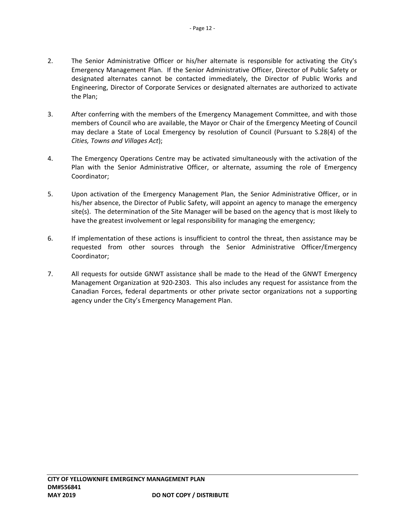- 2. The Senior Administrative Officer or his/her alternate is responsible for activating the City's Emergency Management Plan. If the Senior Administrative Officer, Director of Public Safety or designated alternates cannot be contacted immediately, the Director of Public Works and Engineering, Director of Corporate Services or designated alternates are authorized to activate the Plan;
- 3. After conferring with the members of the Emergency Management Committee, and with those members of Council who are available, the Mayor or Chair of the Emergency Meeting of Council may declare a State of Local Emergency by resolution of Council (Pursuant to S.28(4) of the *Cities, Towns and Villages Act*);
- 4. The Emergency Operations Centre may be activated simultaneously with the activation of the Plan with the Senior Administrative Officer, or alternate, assuming the role of Emergency Coordinator;
- 5. Upon activation of the Emergency Management Plan, the Senior Administrative Officer, or in his/her absence, the Director of Public Safety, will appoint an agency to manage the emergency site(s). The determination of the Site Manager will be based on the agency that is most likely to have the greatest involvement or legal responsibility for managing the emergency;
- 6. If implementation of these actions is insufficient to control the threat, then assistance may be requested from other sources through the Senior Administrative Officer/Emergency Coordinator;
- 7. All requests for outside GNWT assistance shall be made to the Head of the GNWT Emergency Management Organization at 920‐2303. This also includes any request for assistance from the Canadian Forces, federal departments or other private sector organizations not a supporting agency under the City's Emergency Management Plan.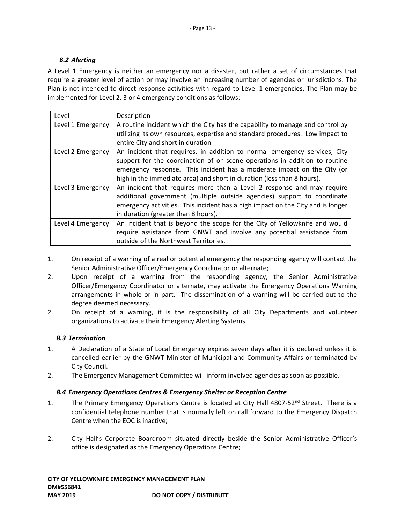# *8.2 Alerting*

A Level 1 Emergency is neither an emergency nor a disaster, but rather a set of circumstances that require a greater level of action or may involve an increasing number of agencies or jurisdictions. The Plan is not intended to direct response activities with regard to Level 1 emergencies. The Plan may be implemented for Level 2, 3 or 4 emergency conditions as follows:

| Level                                                                                           | Description                                                                     |  |
|-------------------------------------------------------------------------------------------------|---------------------------------------------------------------------------------|--|
| Level 1 Emergency                                                                               | A routine incident which the City has the capability to manage and control by   |  |
|                                                                                                 | utilizing its own resources, expertise and standard procedures. Low impact to   |  |
|                                                                                                 | entire City and short in duration                                               |  |
| Level 2 Emergency                                                                               | An incident that requires, in addition to normal emergency services, City       |  |
|                                                                                                 | support for the coordination of on-scene operations in addition to routine      |  |
|                                                                                                 | emergency response. This incident has a moderate impact on the City (or         |  |
| high in the immediate area) and short in duration (less than 8 hours).                          |                                                                                 |  |
| Level 3 Emergency                                                                               | An incident that requires more than a Level 2 response and may require          |  |
|                                                                                                 | additional government (multiple outside agencies) support to coordinate         |  |
|                                                                                                 | emergency activities. This incident has a high impact on the City and is longer |  |
|                                                                                                 | in duration (greater than 8 hours).                                             |  |
| An incident that is beyond the scope for the City of Yellowknife and would<br>Level 4 Emergency |                                                                                 |  |
|                                                                                                 | require assistance from GNWT and involve any potential assistance from          |  |
|                                                                                                 | outside of the Northwest Territories.                                           |  |

- 1. On receipt of a warning of a real or potential emergency the responding agency will contact the Senior Administrative Officer/Emergency Coordinator or alternate;
- 2. Upon receipt of a warning from the responding agency, the Senior Administrative Officer/Emergency Coordinator or alternate, may activate the Emergency Operations Warning arrangements in whole or in part. The dissemination of a warning will be carried out to the degree deemed necessary.
- 2. On receipt of a warning, it is the responsibility of all City Departments and volunteer organizations to activate their Emergency Alerting Systems.

## *8.3 Termination*

- 1. A Declaration of a State of Local Emergency expires seven days after it is declared unless it is cancelled earlier by the GNWT Minister of Municipal and Community Affairs or terminated by City Council.
- 2. The Emergency Management Committee will inform involved agencies as soon as possible.

## *8.4 Emergency Operations Centres & Emergency Shelter or Reception Centre*

- 1. The Primary Emergency Operations Centre is located at City Hall 4807-52<sup>nd</sup> Street. There is a confidential telephone number that is normally left on call forward to the Emergency Dispatch Centre when the EOC is inactive;
- 2. City Hall's Corporate Boardroom situated directly beside the Senior Administrative Officer's office is designated as the Emergency Operations Centre;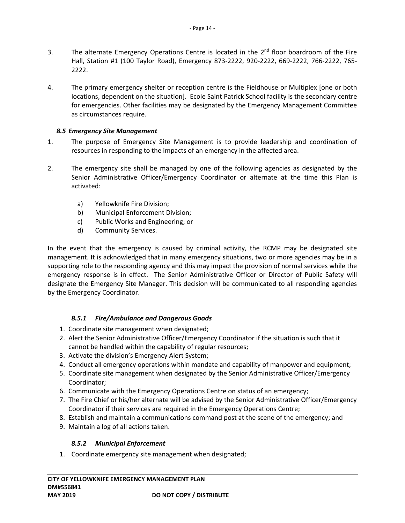- 3. The alternate Emergency Operations Centre is located in the  $2<sup>nd</sup>$  floor boardroom of the Fire Hall, Station #1 (100 Taylor Road), Emergency 873‐2222, 920‐2222, 669‐2222, 766‐2222, 765‐ 2222.
- 4. The primary emergency shelter or reception centre is the Fieldhouse or Multiplex [one or both locations, dependent on the situation]. Ecole Saint Patrick School facility is the secondary centre for emergencies. Other facilities may be designated by the Emergency Management Committee as circumstances require.

# *8.5 Emergency Site Management*

- 1. The purpose of Emergency Site Management is to provide leadership and coordination of resources in responding to the impacts of an emergency in the affected area.
- 2. The emergency site shall be managed by one of the following agencies as designated by the Senior Administrative Officer/Emergency Coordinator or alternate at the time this Plan is activated:
	- a) Yellowknife Fire Division;
	- b) Municipal Enforcement Division;
	- c) Public Works and Engineering; or
	- d) Community Services.

In the event that the emergency is caused by criminal activity, the RCMP may be designated site management. It is acknowledged that in many emergency situations, two or more agencies may be in a supporting role to the responding agency and this may impact the provision of normal services while the emergency response is in effect. The Senior Administrative Officer or Director of Public Safety will designate the Emergency Site Manager. This decision will be communicated to all responding agencies by the Emergency Coordinator.

# *8.5.1 Fire/Ambulance and Dangerous Goods*

- 1. Coordinate site management when designated;
- 2. Alert the Senior Administrative Officer/Emergency Coordinator if the situation is such that it cannot be handled within the capability of regular resources;
- 3. Activate the division's Emergency Alert System;
- 4. Conduct all emergency operations within mandate and capability of manpower and equipment;
- 5. Coordinate site management when designated by the Senior Administrative Officer/Emergency Coordinator;
- 6. Communicate with the Emergency Operations Centre on status of an emergency;
- 7. The Fire Chief or his/her alternate will be advised by the Senior Administrative Officer/Emergency Coordinator if their services are required in the Emergency Operations Centre;
- 8. Establish and maintain a communications command post at the scene of the emergency; and
- 9. Maintain a log of all actions taken.

# *8.5.2 Municipal Enforcement*

1. Coordinate emergency site management when designated;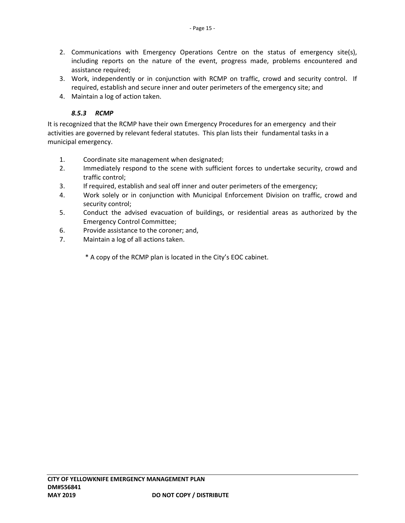- 2. Communications with Emergency Operations Centre on the status of emergency site(s), including reports on the nature of the event, progress made, problems encountered and assistance required;
- 3. Work, independently or in conjunction with RCMP on traffic, crowd and security control. If required, establish and secure inner and outer perimeters of the emergency site; and
- 4. Maintain a log of action taken.

# *8.5.3 RCMP*

It is recognized that the RCMP have their own Emergency Procedures for an emergency and their activities are governed by relevant federal statutes. This plan lists their fundamental tasks in a municipal emergency.

- 1. Coordinate site management when designated;
- 2. Immediately respond to the scene with sufficient forces to undertake security, crowd and traffic control;
- 3. If required, establish and seal off inner and outer perimeters of the emergency;
- 4. Work solely or in conjunction with Municipal Enforcement Division on traffic, crowd and security control;
- 5. Conduct the advised evacuation of buildings, or residential areas as authorized by the Emergency Control Committee;
- 6. Provide assistance to the coroner; and,
- 7. Maintain a log of all actions taken.

\* A copy of the RCMP plan is located in the City's EOC cabinet.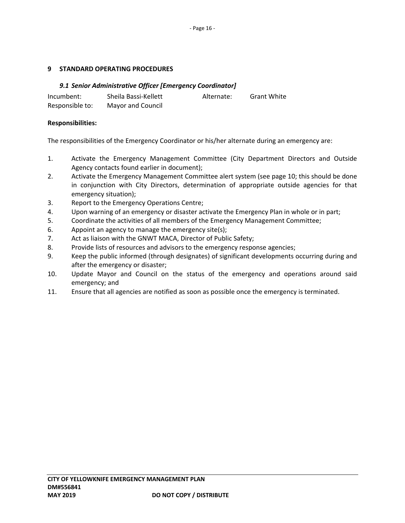## **9 STANDARD OPERATING PROCEDURES**

## *9.1 Senior Administrative Officer [Emergency Coordinator]*

| Incumbent:      | Sheila Bassi-Kellett | Alternate: | <b>Grant White</b> |
|-----------------|----------------------|------------|--------------------|
| Responsible to: | Mayor and Council    |            |                    |

## **Responsibilities:**

The responsibilities of the Emergency Coordinator or his/her alternate during an emergency are:

- 1. Activate the Emergency Management Committee (City Department Directors and Outside Agency contacts found earlier in document);
- 2. Activate the Emergency Management Committee alert system (see page 10; this should be done in conjunction with City Directors, determination of appropriate outside agencies for that emergency situation);
- 3. Report to the Emergency Operations Centre;
- 4. Upon warning of an emergency or disaster activate the Emergency Plan in whole or in part;
- 5. Coordinate the activities of all members of the Emergency Management Committee;
- 6. Appoint an agency to manage the emergency site(s);
- 7. Act as liaison with the GNWT MACA, Director of Public Safety;
- 8. Provide lists of resources and advisors to the emergency response agencies;
- 9. Keep the public informed (through designates) of significant developments occurring during and after the emergency or disaster;
- 10. Update Mayor and Council on the status of the emergency and operations around said emergency; and
- 11. Ensure that all agencies are notified as soon as possible once the emergency is terminated.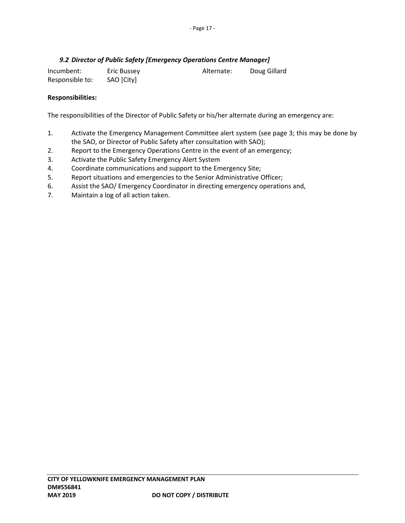# *9.2 Director of Public Safety [Emergency Operations Centre Manager]*

| Incumbent:      | Eric Bussey | Alternate: | Doug Gillard |
|-----------------|-------------|------------|--------------|
| Responsible to: | SAO [City]  |            |              |

## **Responsibilities:**

The responsibilities of the Director of Public Safety or his/her alternate during an emergency are:

- 1. Activate the Emergency Management Committee alert system (see page 3; this may be done by the SAO, or Director of Public Safety after consultation with SAO);
- 2. Report to the Emergency Operations Centre in the event of an emergency;
- 3. Activate the Public Safety Emergency Alert System
- 4. Coordinate communications and support to the Emergency Site;
- 5. Report situations and emergencies to the Senior Administrative Officer;
- 6. Assist the SAO/ Emergency Coordinator in directing emergency operations and,
- 7. Maintain a log of all action taken.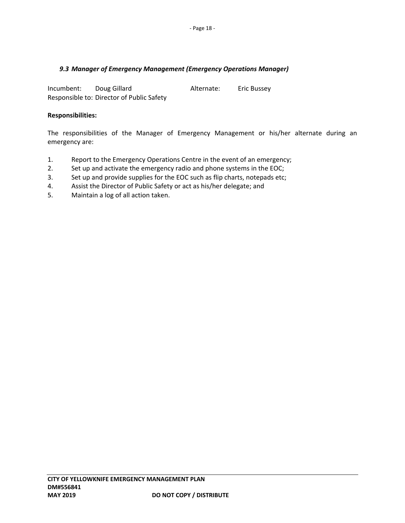# *9.3 Manager of Emergency Management (Emergency Operations Manager)*

Incumbent: Doug Gillard Alternate: Eric Bussey Responsible to: Director of Public Safety

#### **Responsibilities:**

The responsibilities of the Manager of Emergency Management or his/her alternate during an emergency are:

- 1. Report to the Emergency Operations Centre in the event of an emergency;
- 2. Set up and activate the emergency radio and phone systems in the EOC;
- 3. Set up and provide supplies for the EOC such as flip charts, notepads etc;
- 4. Assist the Director of Public Safety or act as his/her delegate; and
- 5. Maintain a log of all action taken.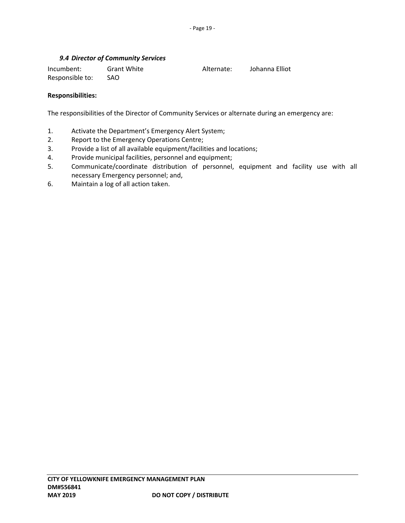# *9.4 Director of Community Services*

| Incumbent:      | <b>Grant White</b> | Alternate: | Johanna Elliot |
|-----------------|--------------------|------------|----------------|
| Responsible to: | SAO.               |            |                |

## **Responsibilities:**

The responsibilities of the Director of Community Services or alternate during an emergency are:

- 1. Activate the Department's Emergency Alert System;
- 2. Report to the Emergency Operations Centre;
- 3. Provide a list of all available equipment/facilities and locations;
- 4. Provide municipal facilities, personnel and equipment;
- 5. Communicate/coordinate distribution of personnel, equipment and facility use with all necessary Emergency personnel; and,
- 6. Maintain a log of all action taken.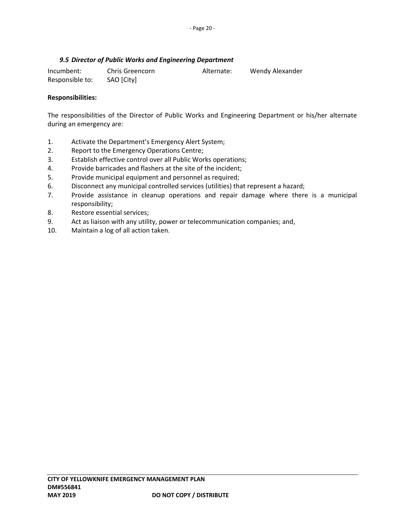# *9.5 Director of Public Works and Engineering Department*

| Incumbent:      | Chris Greencorn | Alternate: | Wendy Alexander |
|-----------------|-----------------|------------|-----------------|
| Responsible to: | SAO [City]      |            |                 |

## **Responsibilities:**

The responsibilities of the Director of Public Works and Engineering Department or his/her alternate during an emergency are:

- 1. Activate the Department's Emergency Alert System;
- 2. Report to the Emergency Operations Centre;
- 3. Establish effective control over all Public Works operations;
- 4. Provide barricades and flashers at the site of the incident;
- 5. Provide municipal equipment and personnel as required;
- 6. Disconnect any municipal controlled services (utilities) that represent a hazard;
- 7. Provide assistance in cleanup operations and repair damage where there is a municipal responsibility;
- 8. Restore essential services;
- 9. Act as liaison with any utility, power or telecommunication companies; and,
- 10. Maintain a log of all action taken.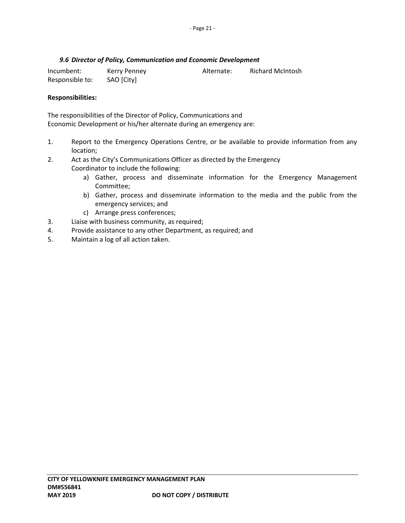# *9.6 Director of Policy, Communication and Economic Development*

| Incumbent:      | Kerry Penney | Alternate: | <b>Richard McIntosh</b> |
|-----------------|--------------|------------|-------------------------|
| Responsible to: | SAO [City]   |            |                         |

## **Responsibilities:**

The responsibilities of the Director of Policy, Communications and Economic Development or his/her alternate during an emergency are:

- 1. Report to the Emergency Operations Centre, or be available to provide information from any location;
- 2. Act as the City's Communications Officer as directed by the Emergency Coordinator to include the following:
	- a) Gather, process and disseminate information for the Emergency Management Committee;
	- b) Gather, process and disseminate information to the media and the public from the emergency services; and
	- c) Arrange press conferences;
- 3. Liaise with business community, as required;
- 4. Provide assistance to any other Department, as required; and
- 5. Maintain a log of all action taken.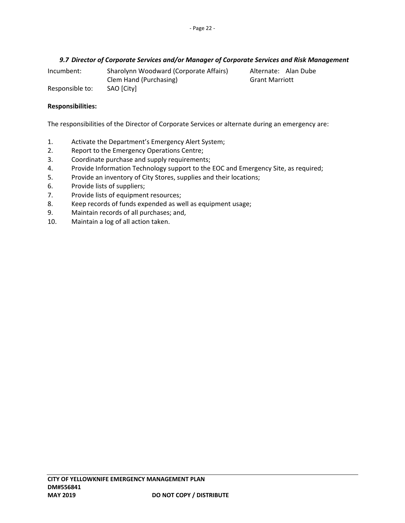# *9.7 Director of Corporate Services and/or Manager of Corporate Services and Risk Management*

Incumbent: Sharolynn Woodward (Corporate Affairs) Alternate: Alan Dube Clem Hand (Purchasing) Grant Marriott Grant Marriott

Responsible to: SAO [City]

# **Responsibilities:**

The responsibilities of the Director of Corporate Services or alternate during an emergency are:

- 1. Activate the Department's Emergency Alert System;
- 2. Report to the Emergency Operations Centre;
- 3. Coordinate purchase and supply requirements;
- 4. Provide Information Technology support to the EOC and Emergency Site, as required;
- 5. Provide an inventory of City Stores, supplies and their locations;
- 6. Provide lists of suppliers;
- 7. Provide lists of equipment resources;
- 8. Keep records of funds expended as well as equipment usage;
- 9. Maintain records of all purchases; and,
- 10. Maintain a log of all action taken.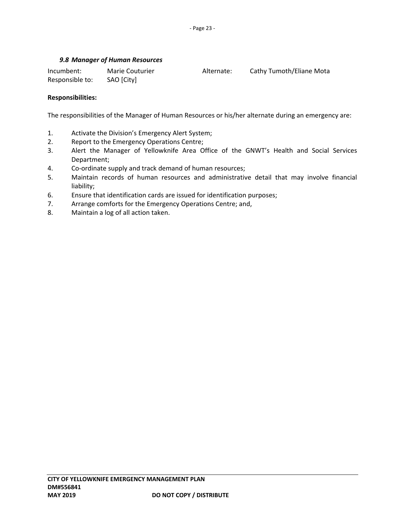## *9.8 Manager of Human Resources*

| Incumbent:      | <b>Marie Couturier</b> | Alternate: | Cathy Tumoth/Eliane Mota |
|-----------------|------------------------|------------|--------------------------|
| Responsible to: | SAO [City]             |            |                          |

## **Responsibilities:**

The responsibilities of the Manager of Human Resources or his/her alternate during an emergency are:

- 1. Activate the Division's Emergency Alert System;
- 2. Report to the Emergency Operations Centre;
- 3. Alert the Manager of Yellowknife Area Office of the GNWT's Health and Social Services Department;
- 4. Co-ordinate supply and track demand of human resources;
- 5. Maintain records of human resources and administrative detail that may involve financial liability;
- 6. Ensure that identification cards are issued for identification purposes;
- 7. Arrange comforts for the Emergency Operations Centre; and,
- 8. Maintain a log of all action taken.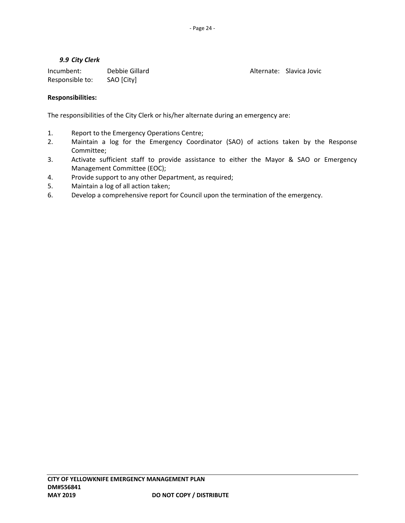Alternate: Slavica Jovic

## *9.9 City Clerk*

| Incumbent:      | Debbie Gillard |
|-----------------|----------------|
| Responsible to: | SAO [City]     |

**Responsibilities:** 

The responsibilities of the City Clerk or his/her alternate during an emergency are:

- 1. Report to the Emergency Operations Centre;
- 2. Maintain a log for the Emergency Coordinator (SAO) of actions taken by the Response Committee;
- 3. Activate sufficient staff to provide assistance to either the Mayor & SAO or Emergency Management Committee (EOC);
- 4. Provide support to any other Department, as required;
- 5. Maintain a log of all action taken;
- 6. Develop a comprehensive report for Council upon the termination of the emergency.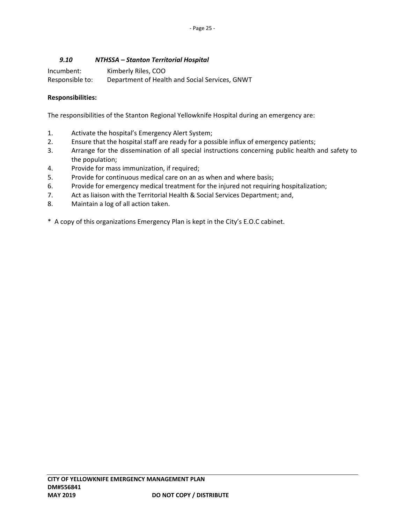# *9.10 NTHSSA – Stanton Territorial Hospital*

| Incumbent:      | Kimberly Riles, COO                            |
|-----------------|------------------------------------------------|
| Responsible to: | Department of Health and Social Services, GNWT |

## **Responsibilities:**

The responsibilities of the Stanton Regional Yellowknife Hospital during an emergency are:

- 1. Activate the hospital's Emergency Alert System;
- 2. Ensure that the hospital staff are ready for a possible influx of emergency patients;
- 3. Arrange for the dissemination of all special instructions concerning public health and safety to the population;
- 4. Provide for mass immunization, if required;
- 5. Provide for continuous medical care on an as when and where basis;
- 6. Provide for emergency medical treatment for the injured not requiring hospitalization;
- 7. Act as liaison with the Territorial Health & Social Services Department; and,
- 8. Maintain a log of all action taken.
- \* A copy of this organizations Emergency Plan is kept in the City's E.O.C cabinet.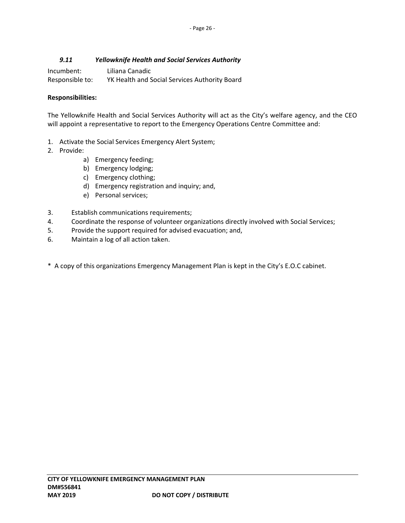# *9.11 Yellowknife Health and Social Services Authority*

| Incumbent:      | Liliana Canadic                               |
|-----------------|-----------------------------------------------|
| Responsible to: | YK Health and Social Services Authority Board |

## **Responsibilities:**

The Yellowknife Health and Social Services Authority will act as the City's welfare agency, and the CEO will appoint a representative to report to the Emergency Operations Centre Committee and:

- 1. Activate the Social Services Emergency Alert System;
- 2. Provide:
	- a) Emergency feeding;
	- b) Emergency lodging;
	- c) Emergency clothing;
	- d) Emergency registration and inquiry; and,
	- e) Personal services;
- 3. Establish communications requirements;
- 4. Coordinate the response of volunteer organizations directly involved with Social Services;
- 5. Provide the support required for advised evacuation; and,
- 6. Maintain a log of all action taken.
- \* A copy of this organizations Emergency Management Plan is kept in the City's E.O.C cabinet.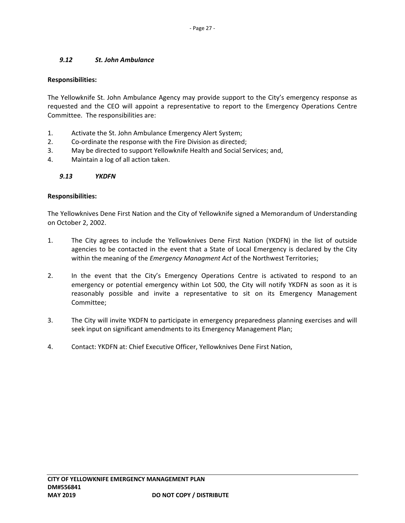# *9.12 St. John Ambulance*

## **Responsibilities:**

The Yellowknife St. John Ambulance Agency may provide support to the City's emergency response as requested and the CEO will appoint a representative to report to the Emergency Operations Centre Committee. The responsibilities are:

- 1. Activate the St. John Ambulance Emergency Alert System;
- 2. Co-ordinate the response with the Fire Division as directed;
- 3. May be directed to support Yellowknife Health and Social Services; and,
- 4. Maintain a log of all action taken.

## *9.13 YKDFN*

#### **Responsibilities:**

The Yellowknives Dene First Nation and the City of Yellowknife signed a Memorandum of Understanding on October 2, 2002.

- 1. The City agrees to include the Yellowknives Dene First Nation (YKDFN) in the list of outside agencies to be contacted in the event that a State of Local Emergency is declared by the City within the meaning of the *Emergency Managment Act* of the Northwest Territories;
- 2. In the event that the City's Emergency Operations Centre is activated to respond to an emergency or potential emergency within Lot 500, the City will notify YKDFN as soon as it is reasonably possible and invite a representative to sit on its Emergency Management Committee;
- 3. The City will invite YKDFN to participate in emergency preparedness planning exercises and will seek input on significant amendments to its Emergency Management Plan;
- 4. Contact: YKDFN at: Chief Executive Officer, Yellowknives Dene First Nation,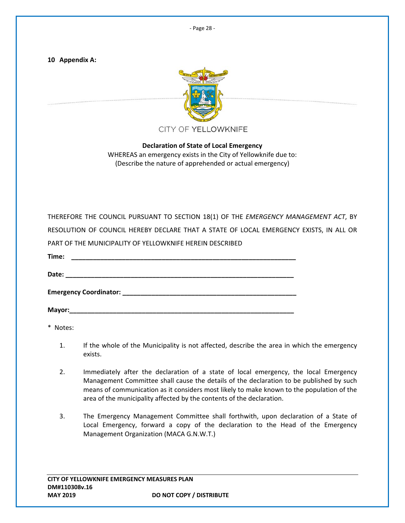‐ Page 28 ‐

**10 Appendix A:** 



**Declaration of State of Local Emergency**  WHEREAS an emergency exists in the City of Yellowknife due to: (Describe the nature of apprehended or actual emergency)

| THEREFORE THE COUNCIL PURSUANT TO SECTION 18(1) OF THE EMERGENCY MANAGEMENT ACT, BY    |  |
|----------------------------------------------------------------------------------------|--|
| RESOLUTION OF COUNCIL HEREBY DECLARE THAT A STATE OF LOCAL EMERGENCY EXISTS, IN ALL OR |  |
| PART OF THE MUNICIPALITY OF YELLOWKNIFE HEREIN DESCRIBED                               |  |
|                                                                                        |  |
|                                                                                        |  |
|                                                                                        |  |

**Mayor:\_\_\_\_\_\_\_\_\_\_\_\_\_\_\_\_\_\_\_\_\_\_\_\_\_\_\_\_\_\_\_\_\_\_\_\_\_\_\_\_\_\_\_\_\_\_\_\_\_\_\_\_\_\_\_\_\_\_\_\_\_\_** 

\* Notes:

- 1. If the whole of the Municipality is not affected, describe the area in which the emergency exists.
- 2. Immediately after the declaration of a state of local emergency, the local Emergency Management Committee shall cause the details of the declaration to be published by such means of communication as it considers most likely to make known to the population of the area of the municipality affected by the contents of the declaration.
- 3. The Emergency Management Committee shall forthwith, upon declaration of a State of Local Emergency, forward a copy of the declaration to the Head of the Emergency Management Organization (MACA G.N.W.T.)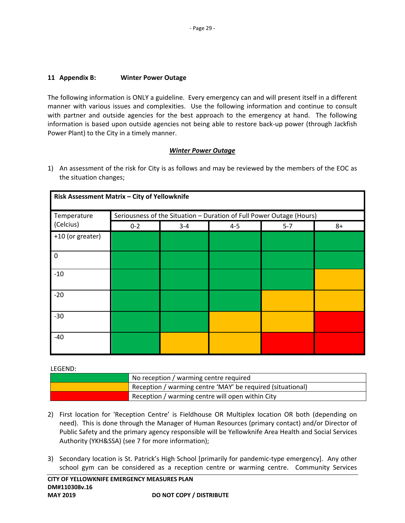# **11 Appendix B: Winter Power Outage**

The following information is ONLY a guideline. Every emergency can and will present itself in a different manner with various issues and complexities. Use the following information and continue to consult with partner and outside agencies for the best approach to the emergency at hand. The following information is based upon outside agencies not being able to restore back‐up power (through Jackfish Power Plant) to the City in a timely manner.

# *Winter Power Outage*

1) An assessment of the risk for City is as follows and may be reviewed by the members of the EOC as the situation changes;

| Temperature      |         |         |         | Seriousness of the Situation - Duration of Full Power Outage (Hours) |      |
|------------------|---------|---------|---------|----------------------------------------------------------------------|------|
| (Celcius)        | $0 - 2$ | $3 - 4$ | $4 - 5$ | $5 - 7$                                                              | $8+$ |
| +10 (or greater) |         |         |         |                                                                      |      |
| 0                |         |         |         |                                                                      |      |
| $-10$            |         |         |         |                                                                      |      |
| $-20$            |         |         |         |                                                                      |      |
| $-30$            |         |         |         |                                                                      |      |
| $-40$            |         |         |         |                                                                      |      |

## LEGEND:

| No reception / warming centre required                     |
|------------------------------------------------------------|
| Reception / warming centre 'MAY' be required (situational) |
| Reception / warming centre will open within City           |

- 2) First location for 'Reception Centre' is Fieldhouse OR Multiplex location OR both (depending on need). This is done through the Manager of Human Resources (primary contact) and/or Director of Public Safety and the primary agency responsible will be Yellowknife Area Health and Social Services Authority (YKH&SSA) (see 7 for more information);
- 3) Secondary location is St. Patrick's High School [primarily for pandemic-type emergency]. Any other school gym can be considered as a reception centre or warming centre. Community Services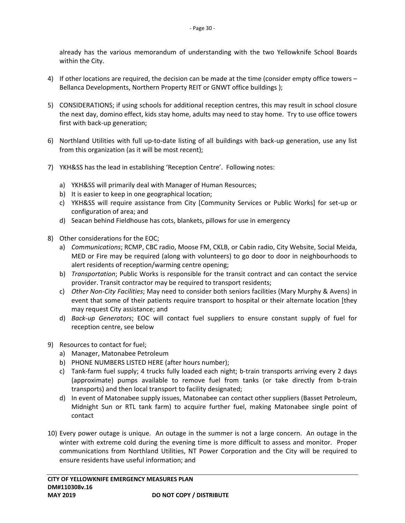already has the various memorandum of understanding with the two Yellowknife School Boards within the City.

- 4) If other locations are required, the decision can be made at the time (consider empty office towers Bellanca Developments, Northern Property REIT or GNWT office buildings );
- 5) CONSIDERATIONS; if using schools for additional reception centres, this may result in school closure the next day, domino effect, kids stay home, adults may need to stay home. Try to use office towers first with back‐up generation;
- 6) Northland Utilities with full up‐to‐date listing of all buildings with back‐up generation, use any list from this organization (as it will be most recent);
- 7) YKH&SS has the lead in establishing 'Reception Centre'. Following notes:
	- a) YKH&SS will primarily deal with Manager of Human Resources;
	- b) It is easier to keep in one geographical location;
	- c) YKH&SS will require assistance from City [Community Services or Public Works] for set-up or configuration of area; and
	- d) Seacan behind Fieldhouse has cots, blankets, pillows for use in emergency
- 8) Other considerations for the EOC;
	- a) *Communications*; RCMP, CBC radio, Moose FM, CKLB, or Cabin radio, City Website, Social Meida, MED or Fire may be required (along with volunteers) to go door to door in neighbourhoods to alert residents of reception/warming centre opening;
	- b) *Transportation*; Public Works is responsible for the transit contract and can contact the service provider. Transit contractor may be required to transport residents;
	- c) *Other Non‐City Facilities*; May need to consider both seniors facilities (Mary Murphy & Avens) in event that some of their patients require transport to hospital or their alternate location [they may request City assistance; and
	- d) *Back‐up Generators*; EOC will contact fuel suppliers to ensure constant supply of fuel for reception centre, see below
- 9) Resources to contact for fuel;
	- a) Manager, Matonabee Petroleum
	- b) PHONE NUMBERS LISTED HERE (after hours number);
	- c) Tank-farm fuel supply; 4 trucks fully loaded each night; b-train transports arriving every 2 days (approximate) pumps available to remove fuel from tanks (or take directly from b-train transports) and then local transport to facility designated;
	- d) In event of Matonabee supply issues, Matonabee can contact other suppliers (Basset Petroleum, Midnight Sun or RTL tank farm) to acquire further fuel, making Matonabee single point of contact
- 10) Every power outage is unique. An outage in the summer is not a large concern. An outage in the winter with extreme cold during the evening time is more difficult to assess and monitor. Proper communications from Northland Utilities, NT Power Corporation and the City will be required to ensure residents have useful information; and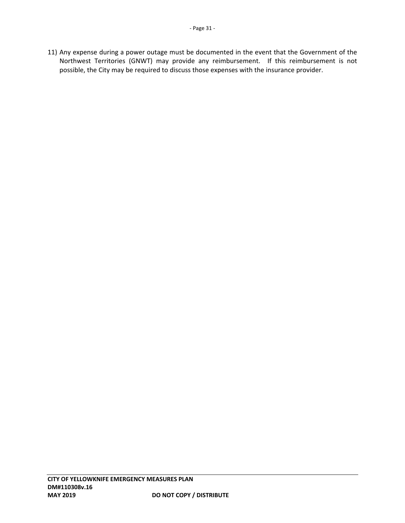11) Any expense during a power outage must be documented in the event that the Government of the Northwest Territories (GNWT) may provide any reimbursement. If this reimbursement is not possible, the City may be required to discuss those expenses with the insurance provider.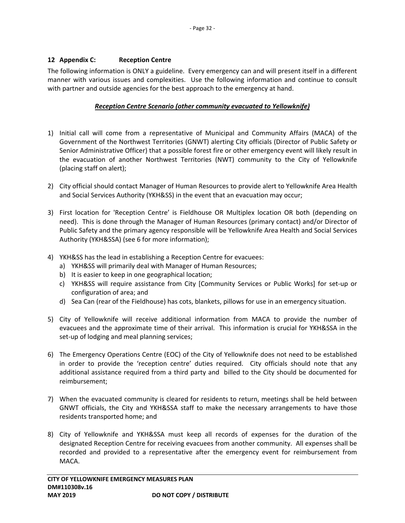# **12 Appendix C: Reception Centre**

The following information is ONLY a guideline. Every emergency can and will present itself in a different manner with various issues and complexities. Use the following information and continue to consult with partner and outside agencies for the best approach to the emergency at hand.

# *Reception Centre Scenario (other community evacuated to Yellowknife)*

- 1) Initial call will come from a representative of Municipal and Community Affairs (MACA) of the Government of the Northwest Territories (GNWT) alerting City officials (Director of Public Safety or Senior Administrative Officer) that a possible forest fire or other emergency event will likely result in the evacuation of another Northwest Territories (NWT) community to the City of Yellowknife (placing staff on alert);
- 2) City official should contact Manager of Human Resources to provide alert to Yellowknife Area Health and Social Services Authority (YKH&SS) in the event that an evacuation may occur;
- 3) First location for 'Reception Centre' is Fieldhouse OR Multiplex location OR both (depending on need). This is done through the Manager of Human Resources (primary contact) and/or Director of Public Safety and the primary agency responsible will be Yellowknife Area Health and Social Services Authority (YKH&SSA) (see 6 for more information);
- 4) YKH&SS has the lead in establishing a Reception Centre for evacuees:
	- a) YKH&SS will primarily deal with Manager of Human Resources;
	- b) It is easier to keep in one geographical location;
	- c) YKH&SS will require assistance from City [Community Services or Public Works] for set‐up or configuration of area; and
	- d) Sea Can (rear of the Fieldhouse) has cots, blankets, pillows for use in an emergency situation.
- 5) City of Yellowknife will receive additional information from MACA to provide the number of evacuees and the approximate time of their arrival. This information is crucial for YKH&SSA in the set-up of lodging and meal planning services;
- 6) The Emergency Operations Centre (EOC) of the City of Yellowknife does not need to be established in order to provide the 'reception centre' duties required. City officials should note that any additional assistance required from a third party and billed to the City should be documented for reimbursement;
- 7) When the evacuated community is cleared for residents to return, meetings shall be held between GNWT officials, the City and YKH&SSA staff to make the necessary arrangements to have those residents transported home; and
- 8) City of Yellowknife and YKH&SSA must keep all records of expenses for the duration of the designated Reception Centre for receiving evacuees from another community. All expenses shall be recorded and provided to a representative after the emergency event for reimbursement from MACA.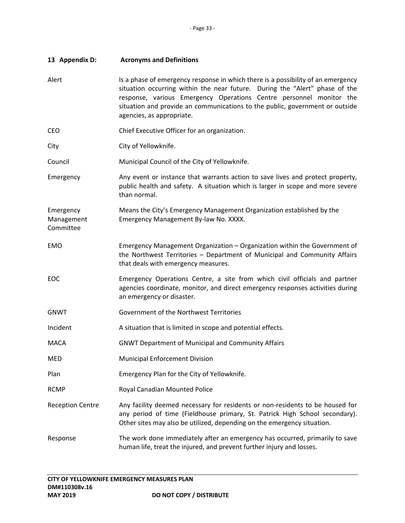| 13 Appendix D:                       | <b>Acronyms and Definitions</b>                                                                                                                                                                                                                                                                                                                     |
|--------------------------------------|-----------------------------------------------------------------------------------------------------------------------------------------------------------------------------------------------------------------------------------------------------------------------------------------------------------------------------------------------------|
| Alert                                | Is a phase of emergency response in which there is a possibility of an emergency<br>situation occurring within the near future. During the "Alert" phase of the<br>response, various Emergency Operations Centre personnel monitor the<br>situation and provide an communications to the public, government or outside<br>agencies, as appropriate. |
| CEO                                  | Chief Executive Officer for an organization.                                                                                                                                                                                                                                                                                                        |
| City                                 | City of Yellowknife.                                                                                                                                                                                                                                                                                                                                |
| Council                              | Municipal Council of the City of Yellowknife.                                                                                                                                                                                                                                                                                                       |
| Emergency                            | Any event or instance that warrants action to save lives and protect property,<br>public health and safety. A situation which is larger in scope and more severe<br>than normal.                                                                                                                                                                    |
| Emergency<br>Management<br>Committee | Means the City's Emergency Management Organization established by the<br>Emergency Management By-law No. XXXX.                                                                                                                                                                                                                                      |
| <b>EMO</b>                           | Emergency Management Organization - Organization within the Government of<br>the Northwest Territories - Department of Municipal and Community Affairs<br>that deals with emergency measures.                                                                                                                                                       |
| EOC                                  | Emergency Operations Centre, a site from which civil officials and partner<br>agencies coordinate, monitor, and direct emergency responses activities during<br>an emergency or disaster.                                                                                                                                                           |
| <b>GNWT</b>                          | Government of the Northwest Territories                                                                                                                                                                                                                                                                                                             |
| Incident                             | A situation that is limited in scope and potential effects.                                                                                                                                                                                                                                                                                         |
| <b>MACA</b>                          | <b>GNWT Department of Municipal and Community Affairs</b>                                                                                                                                                                                                                                                                                           |
| MED                                  | <b>Municipal Enforcement Division</b>                                                                                                                                                                                                                                                                                                               |
| Plan                                 | Emergency Plan for the City of Yellowknife.                                                                                                                                                                                                                                                                                                         |
| <b>RCMP</b>                          | Royal Canadian Mounted Police                                                                                                                                                                                                                                                                                                                       |
| <b>Reception Centre</b>              | Any facility deemed necessary for residents or non-residents to be housed for<br>any period of time (Fieldhouse primary, St. Patrick High School secondary).<br>Other sites may also be utilized, depending on the emergency situation.                                                                                                             |
| Response                             | The work done immediately after an emergency has occurred, primarily to save<br>human life, treat the injured, and prevent further injury and losses.                                                                                                                                                                                               |